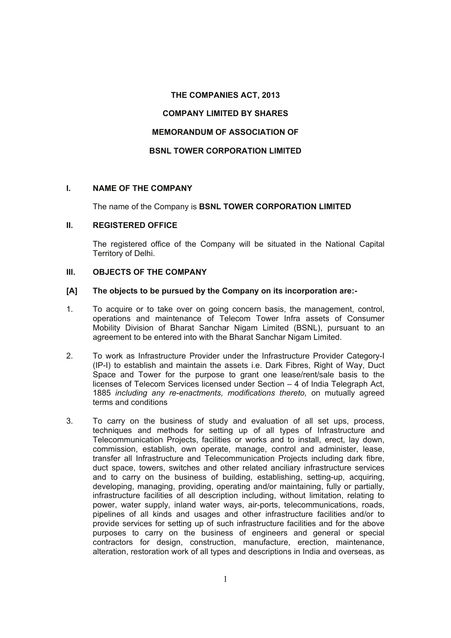## **THE COMPANIES ACT, 2013**

## **COMPANY LIMITED BY SHARES**

# **MEMORANDUM OF ASSOCIATION OF**

# **BSNL TOWER CORPORATION LIMITED**

# **I. NAME OF THE COMPANY**

#### The name of the Company is **BSNL TOWER CORPORATION LIMITED**

#### **II. REGISTERED OFFICE**

The registered office of the Company will be situated in the National Capital Territory of Delhi.

# **III. OBJECTS OF THE COMPANY**

#### **[A] The objects to be pursued by the Company on its incorporation are:-**

- 1. To acquire or to take over on going concern basis, the management, control, operations and maintenance of Telecom Tower Infra assets of Consumer Mobility Division of Bharat Sanchar Nigam Limited (BSNL), pursuant to an agreement to be entered into with the Bharat Sanchar Nigam Limited.
- 2. To work as Infrastructure Provider under the Infrastructure Provider Category-I (IP-I) to establish and maintain the assets i.e. Dark Fibres, Right of Way, Duct Space and Tower for the purpose to grant one lease/rent/sale basis to the licenses of Telecom Services licensed under Section – 4 of India Telegraph Act, 1885 *including any re-enactments, modifications thereto,* on mutually agreed terms and conditions
- 3. To carry on the business of study and evaluation of all set ups, process, techniques and methods for setting up of all types of Infrastructure and Telecommunication Projects, facilities or works and to install, erect, lay down, commission, establish, own operate, manage, control and administer, lease, transfer all Infrastructure and Telecommunication Projects including dark fibre, duct space, towers, switches and other related anciliary infrastructure services and to carry on the business of building, establishing, setting-up, acquiring, developing, managing, providing, operating and/or maintaining, fully or partially, infrastructure facilities of all description including, without limitation, relating to power, water supply, inland water ways, air-ports, telecommunications, roads, pipelines of all kinds and usages and other infrastructure facilities and/or to provide services for setting up of such infrastructure facilities and for the above purposes to carry on the business of engineers and general or special contractors for design, construction, manufacture, erection, maintenance, alteration, restoration work of all types and descriptions in India and overseas, as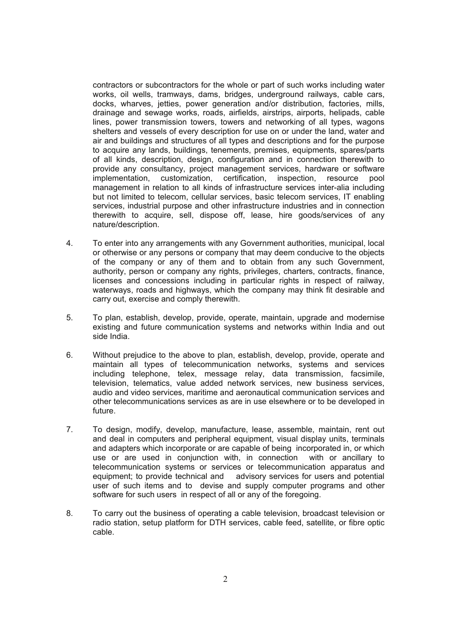contractors or subcontractors for the whole or part of such works including water works, oil wells, tramways, dams, bridges, underground railways, cable cars, docks, wharves, jetties, power generation and/or distribution, factories, mills, drainage and sewage works, roads, airfields, airstrips, airports, helipads, cable lines, power transmission towers, towers and networking of all types, wagons shelters and vessels of every description for use on or under the land, water and air and buildings and structures of all types and descriptions and for the purpose to acquire any lands, buildings, tenements, premises, equipments, spares/parts of all kinds, description, design, configuration and in connection therewith to provide any consultancy, project management services, hardware or software implementation, customization, certification, inspection, resource pool management in relation to all kinds of infrastructure services inter-alia including but not limited to telecom, cellular services, basic telecom services, IT enabling services, industrial purpose and other infrastructure industries and in connection therewith to acquire, sell, dispose off, lease, hire goods/services of any nature/description.

- 4. To enter into any arrangements with any Government authorities, municipal, local or otherwise or any persons or company that may deem conducive to the objects of the company or any of them and to obtain from any such Government, authority, person or company any rights, privileges, charters, contracts, finance, licenses and concessions including in particular rights in respect of railway, waterways, roads and highways, which the company may think fit desirable and carry out, exercise and comply therewith.
- 5. To plan, establish, develop, provide, operate, maintain, upgrade and modernise existing and future communication systems and networks within India and out side India.
- 6. Without prejudice to the above to plan, establish, develop, provide, operate and maintain all types of telecommunication networks, systems and services including telephone, telex, message relay, data transmission, facsimile, television, telematics, value added network services, new business services, audio and video services, maritime and aeronautical communication services and other telecommunications services as are in use elsewhere or to be developed in future.
- 7. To design, modify, develop, manufacture, lease, assemble, maintain, rent out and deal in computers and peripheral equipment, visual display units, terminals and adapters which incorporate or are capable of being incorporated in, or which use or are used in conjunction with, in connection with or ancillary to telecommunication systems or services or telecommunication apparatus and equipment; to provide technical and advisory services for users and potential user of such items and to devise and supply computer programs and other software for such users in respect of all or any of the foregoing.
- 8. To carry out the business of operating a cable television, broadcast television or radio station, setup platform for DTH services, cable feed, satellite, or fibre optic cable.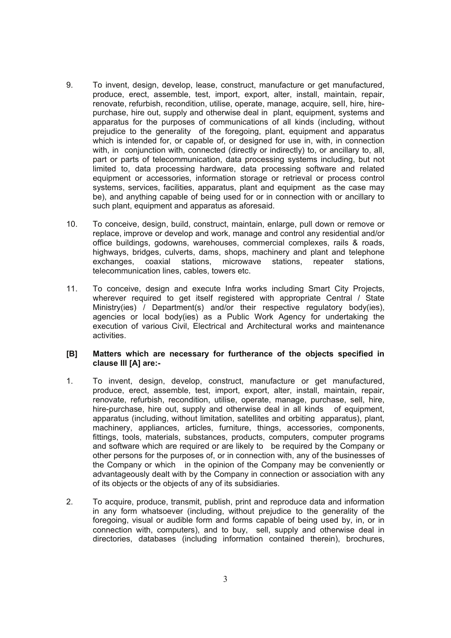- 9. To invent, design, develop, lease, construct, manufacture or get manufactured, produce, erect, assemble, test, import, export, alter, install, maintain, repair, renovate, refurbish, recondition, utilise, operate, manage, acquire, seII, hire, hirepurchase, hire out, supply and otherwise deal in plant, equipment, systems and apparatus for the purposes of communications of all kinds (including, without prejudice to the generality of the foregoing, plant, equipment and apparatus which is intended for, or capable of, or designed for use in, with, in connection with, in conjunction with, connected (directly or indirectly) to, or ancillary to, all, part or parts of telecommunication, data processing systems including, but not limited to, data processing hardware, data processing software and related equipment or accessories, information storage or retrieval or process control systems, services, facilities, apparatus, plant and equipment as the case may be), and anything capable of being used for or in connection with or ancillary to such plant, equipment and apparatus as aforesaid.
- 10. To conceive, design, build, construct, maintain, enlarge, pull down or remove or replace, improve or develop and work, manage and control any residential and/or office buildings, godowns, warehouses, commercial complexes, rails & roads, highways, bridges, culverts, dams, shops, machinery and plant and telephone exchanges, coaxial stations, microwave stations, repeater stations, telecommunication lines, cables, towers etc.
- 11. To conceive, design and execute Infra works including Smart City Projects, wherever required to get itself registered with appropriate Central / State Ministry(ies) / Department(s) and/or their respective regulatory body(ies), agencies or local body(ies) as a Public Work Agency for undertaking the execution of various Civil, Electrical and Architectural works and maintenance activities.

### **[B] Matters which are necessary for furtherance of the objects specified in clause III [A] are:-**

- 1. To invent, design, develop, construct, manufacture or get manufactured, produce, erect, assemble, test, import, export, alter, install, maintain, repair, renovate, refurbish, recondition, utilise, operate, manage, purchase, sell, hire, hire-purchase, hire out, supply and otherwise deal in all kinds of equipment, apparatus (including, without limitation, satellites and orbiting apparatus), plant, machinery, appliances, articles, furniture, things, accessories, components, fittings, tools, materials, substances, products, computers, computer programs and software which are required or are likely to be required by the Company or other persons for the purposes of, or in connection with, any of the businesses of the Company or which in the opinion of the Company may be conveniently or advantageously dealt with by the Company in connection or association with any of its objects or the objects of any of its subsidiaries.
- 2. To acquire, produce, transmit, publish, print and reproduce data and information in any form whatsoever (including, without prejudice to the generality of the foregoing, visual or audible form and forms capable of being used by, in, or in connection with, computers), and to buy, sell, supply and otherwise deal in directories, databases (including information contained therein), brochures,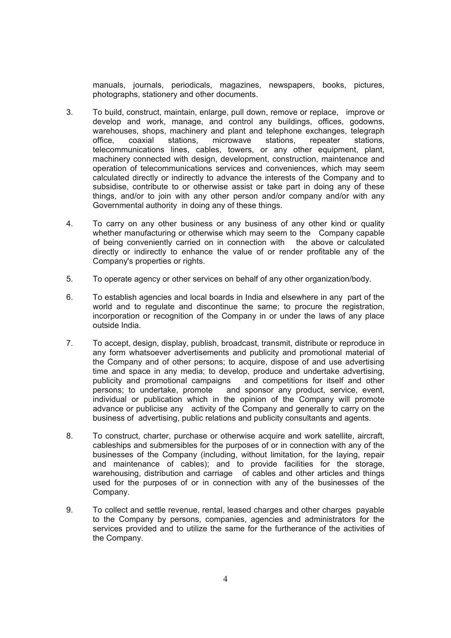manuals, journals, periodicals, magazines, newspapers, books, pictures, photographs, stationery and other documents.

- 3. To build, construct, maintain, enlarge, pull down, remove or replace, improve or develop and work, manage, and control any buildings, offices, godowns, warehouses, shops, machinery and plant and telephone exchanges, telegraph office, coaxial stations, microwave stations, repeater stations, telecommunications lines, cables, towers, or any other equipment, plant, machinery connected with design, development, construction, maintenance and operation of telecommunications services and conveniences, which may seem calculated directly or indirectly to advance the interests of the Company and to subsidise, contribute to or otherwise assist or take part in doing any of these things, and/or to join with any other person and/or company and/or with any Governmental authority in doing any of these things.
- 4. To carry on any other business or any business of any other kind or quality whether manufacturing or otherwise which may seem to the Company capable of being conveniently carried on in connection with the above or calculated directly or indirectly to enhance the value of or render profitable any of the Company's properties or rights.
- 5. To operate agency or other services on behalf of any other organization/body.
- 6. To establish agencies and local boards in India and elsewhere in any part of the world and to regulate and discontinue the same; to procure the registration, incorporation or recognition of the Company in or under the laws of any place outside India.
- 7. To accept, design, display, publish, broadcast, transmit, distribute or reproduce in any form whatsoever advertisements and publicity and promotional material of the Company and of other persons; to acquire, dispose of and use advertising time and space in any media; to develop, produce and undertake advertising, publicity and promotional campaigns and competitions for itself and other persons; to undertake, promote and sponsor any product, service, event, individual or publication which in the opinion of the Company will promote advance or publicise any activity of the Company and generally to carry on the business of advertising, public relations and publicity consultants and agents.
- 8. To construct, charter, purchase or otherwise acquire and work satellite, aircraft, cableships and submersibles for the purposes of or in connection with any of the businesses of the Company (including, without limitation, for the laying, repair and maintenance of cables); and to provide facilities for the storage, warehousing, distribution and carriage of cables and other articles and things used for the purposes of or in connection with any of the businesses of the Company.
- 9. To collect and settle revenue, rental, leased charges and other charges payable to the Company by persons, companies, agencies and administrators for the services provided and to utilize the same for the furtherance of the activities of the Company.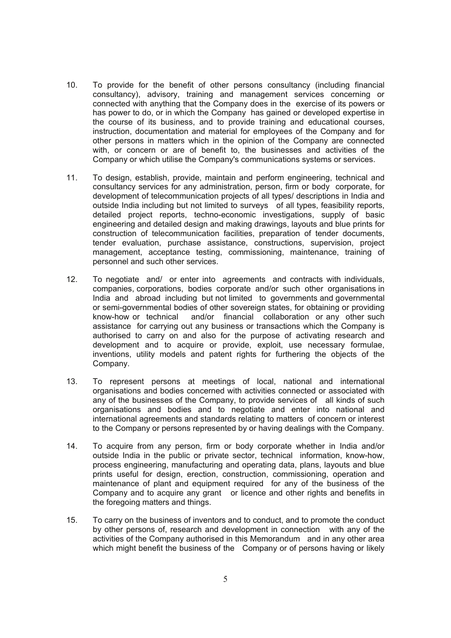- 10. To provide for the benefit of other persons consultancy (including financial consultancy), advisory, training and management services concerning or connected with anything that the Company does in the exercise of its powers or has power to do, or in which the Company has gained or developed expertise in the course of its business, and to provide training and educational courses, instruction, documentation and material for employees of the Company and for other persons in matters which in the opinion of the Company are connected with, or concern or are of benefit to, the businesses and activities of the Company or which utilise the Company's communications systems or services.
- 11. To design, establish, provide, maintain and perform engineering, technical and consultancy services for any administration, person, firm or body corporate, for development of telecommunication projects of all types/ descriptions in India and outside India including but not limited to surveys of all types, feasibility reports, detailed project reports, techno-economic investigations, supply of basic engineering and detailed design and making drawings, layouts and blue prints for construction of telecommunication facilities, preparation of tender documents, tender evaluation, purchase assistance, constructions, supervision, project management, acceptance testing, commissioning, maintenance, training of personnel and such other services.
- 12. To negotiate and/ or enter into agreements and contracts with individuals, companies, corporations, bodies corporate and/or such other organisations in India and abroad including but not limited to governments and governmental or semi-governmental bodies of other sovereign states, for obtaining or providing know-how or technical and/or financial collaboration or any other such assistance for carrying out any business or transactions which the Company is authorised to carry on and also for the purpose of activating research and development and to acquire or provide, exploit, use necessary formulae, inventions, utility models and patent rights for furthering the objects of the Company.
- 13. To represent persons at meetings of local, national and international organisations and bodies concerned with activities connected or associated with any of the businesses of the Company, to provide services of all kinds of such organisations and bodies and to negotiate and enter into national and international agreements and standards relating to matters of concern or interest to the Company or persons represented by or having dealings with the Company.
- 14. To acquire from any person, firm or body corporate whether in India and/or outside India in the public or private sector, technical information, know-how, process engineering, manufacturing and operating data, plans, layouts and blue prints useful for design, erection, construction, commissioning, operation and maintenance of plant and equipment required for any of the business of the Company and to acquire any grant or licence and other rights and benefits in the foregoing matters and things.
- 15. To carry on the business of inventors and to conduct, and to promote the conduct by other persons of, research and development in connection with any of the activities of the Company authorised in this Memorandum and in any other area which might benefit the business of the Company or of persons having or likely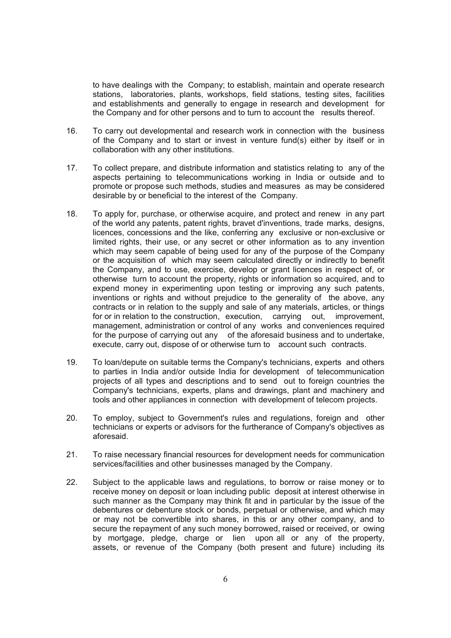to have dealings with the Company; to establish, maintain and operate research stations, laboratories, plants, workshops, field stations, testing sites, facilities and establishments and generally to engage in research and development for the Company and for other persons and to turn to account the results thereof.

- 16. To carry out developmental and research work in connection with the business of the Company and to start or invest in venture fund(s) either by itself or in collaboration with any other institutions.
- 17. To collect prepare, and distribute information and statistics relating to any of the aspects pertaining to telecommunications working in India or outside and to promote or propose such methods, studies and measures as may be considered desirable by or beneficial to the interest of the Company.
- 18. To apply for, purchase, or otherwise acquire, and protect and renew in any part of the world any patents, patent rights, bravet d'inventions, trade marks, designs, licences, concessions and the like, conferring any exclusive or non-exclusive or limited rights, their use, or any secret or other information as to any invention which may seem capable of being used for any of the purpose of the Company or the acquisition of which may seem calculated directly or indirectly to benefit the Company, and to use, exercise, develop or grant licences in respect of, or otherwise turn to account the property, rights or information so acquired, and to expend money in experimenting upon testing or improving any such patents, inventions or rights and without prejudice to the generality of the above, any contracts or in relation to the supply and sale of any materials, articles, or things for or in relation to the construction, execution, carrying out, improvement, management, administration or control of any works and conveniences required for the purpose of carrying out any of the aforesaid business and to undertake, execute, carry out, dispose of or otherwise turn to account such contracts.
- 19. To loan/depute on suitable terms the Company's technicians, experts and others to parties in India and/or outside India for development of telecommunication projects of all types and descriptions and to send out to foreign countries the Company's technicians, experts, plans and drawings, plant and machinery and tools and other appliances in connection with development of telecom projects.
- 20. To employ, subject to Government's rules and regulations, foreign and other technicians or experts or advisors for the furtherance of Company's objectives as aforesaid.
- 21. To raise necessary financial resources for development needs for communication services/facilities and other businesses managed by the Company.
- 22. Subject to the applicable laws and regulations, to borrow or raise money or to receive money on deposit or loan including public deposit at interest otherwise in such manner as the Company may think fit and in particular by the issue of the debentures or debenture stock or bonds, perpetual or otherwise, and which may or may not be convertible into shares, in this or any other company, and to secure the repayment of any such money borrowed, raised or received, or owing by mortgage, pledge, charge or lien upon all or any of the property, assets, or revenue of the Company (both present and future) including its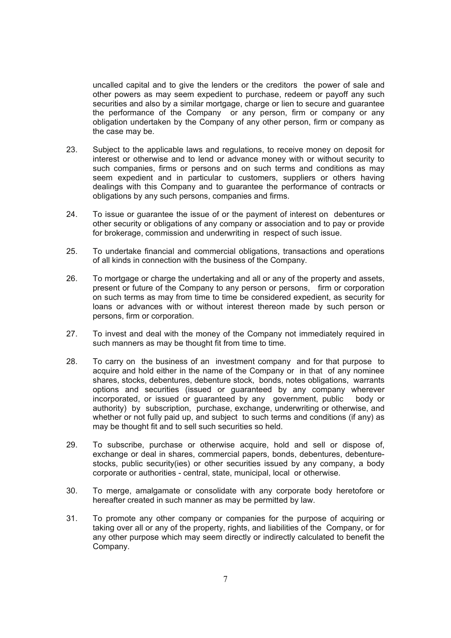uncalled capital and to give the lenders or the creditors the power of sale and other powers as may seem expedient to purchase, redeem or payoff any such securities and also by a similar mortgage, charge or lien to secure and guarantee the performance of the Company or any person, firm or company or any obligation undertaken by the Company of any other person, firm or company as the case may be.

- 23. Subject to the applicable laws and regulations, to receive money on deposit for interest or otherwise and to lend or advance money with or without security to such companies, firms or persons and on such terms and conditions as may seem expedient and in particular to customers, suppliers or others having dealings with this Company and to guarantee the performance of contracts or obligations by any such persons, companies and firms.
- 24. To issue or guarantee the issue of or the payment of interest on debentures or other security or obligations of any company or association and to pay or provide for brokerage, commission and underwriting in respect of such issue.
- 25. To undertake financial and commercial obligations, transactions and operations of all kinds in connection with the business of the Company.
- 26. To mortgage or charge the undertaking and all or any of the property and assets, present or future of the Company to any person or persons, firm or corporation on such terms as may from time to time be considered expedient, as security for loans or advances with or without interest thereon made by such person or persons, firm or corporation.
- 27. To invest and deal with the money of the Company not immediately required in such manners as may be thought fit from time to time.
- 28. To carry on the business of an investment company and for that purpose to acquire and hold either in the name of the Company or in that of any nominee shares, stocks, debentures, debenture stock, bonds, notes obligations, warrants options and securities (issued or guaranteed by any company wherever incorporated, or issued or guaranteed by any government, public body or authority) by subscription, purchase, exchange, underwriting or otherwise, and whether or not fully paid up, and subject to such terms and conditions (if any) as may be thought fit and to sell such securities so held.
- 29. To subscribe, purchase or otherwise acquire, hold and sell or dispose of, exchange or deal in shares, commercial papers, bonds, debentures, debenturestocks, public security(ies) or other securities issued by any company, a body corporate or authorities - central, state, municipal, local or otherwise.
- 30. To merge, amalgamate or consolidate with any corporate body heretofore or hereafter created in such manner as may be permitted by law.
- 31. To promote any other company or companies for the purpose of acquiring or taking over all or any of the property, rights, and liabilities of the Company, or for any other purpose which may seem directly or indirectly calculated to benefit the Company.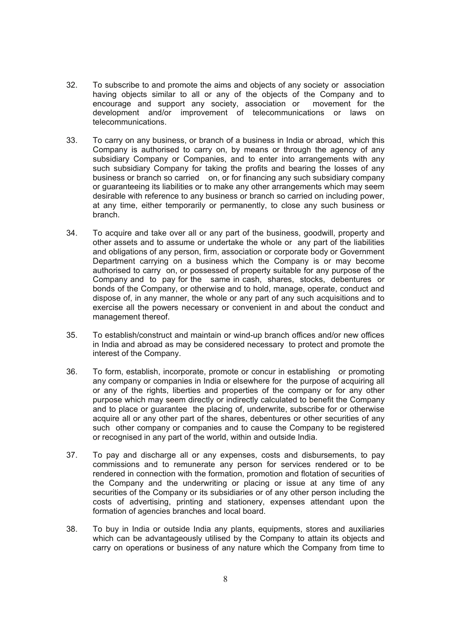- 32. To subscribe to and promote the aims and objects of any society or association having objects similar to all or any of the objects of the Company and to encourage and support any society, association or movement for the development and/or improvement of telecommunications or laws on telecommunications.
- 33. To carry on any business, or branch of a business in India or abroad, which this Company is authorised to carry on, by means or through the agency of any subsidiary Company or Companies, and to enter into arrangements with any such subsidiary Company for taking the profits and bearing the losses of any business or branch so carried on, or for financing any such subsidiary company or guaranteeing its liabilities or to make any other arrangements which may seem desirable with reference to any business or branch so carried on including power, at any time, either temporarily or permanently, to close any such business or branch.
- 34. To acquire and take over all or any part of the business, goodwill, property and other assets and to assume or undertake the whole or any part of the liabilities and obligations of any person, firm, association or corporate body or Government Department carrying on a business which the Company is or may become authorised to carry on, or possessed of property suitable for any purpose of the Company and to pay for the same in cash, shares, stocks, debentures or bonds of the Company, or otherwise and to hold, manage, operate, conduct and dispose of, in any manner, the whole or any part of any such acquisitions and to exercise all the powers necessary or convenient in and about the conduct and management thereof.
- 35. To establish/construct and maintain or wind-up branch offices and/or new offices in India and abroad as may be considered necessary to protect and promote the interest of the Company.
- 36. To form, establish, incorporate, promote or concur in establishing or promoting any company or companies in India or elsewhere for the purpose of acquiring all or any of the rights, liberties and properties of the company or for any other purpose which may seem directly or indirectly calculated to benefit the Company and to place or guarantee the placing of, underwrite, subscribe for or otherwise acquire all or any other part of the shares, debentures or other securities of any such other company or companies and to cause the Company to be registered or recognised in any part of the world, within and outside India.
- 37. To pay and discharge all or any expenses, costs and disbursements, to pay commissions and to remunerate any person for services rendered or to be rendered in connection with the formation, promotion and flotation of securities of the Company and the underwriting or placing or issue at any time of any securities of the Company or its subsidiaries or of any other person including the costs of advertising, printing and stationery, expenses attendant upon the formation of agencies branches and local board.
- 38. To buy in India or outside India any plants, equipments, stores and auxiliaries which can be advantageously utilised by the Company to attain its objects and carry on operations or business of any nature which the Company from time to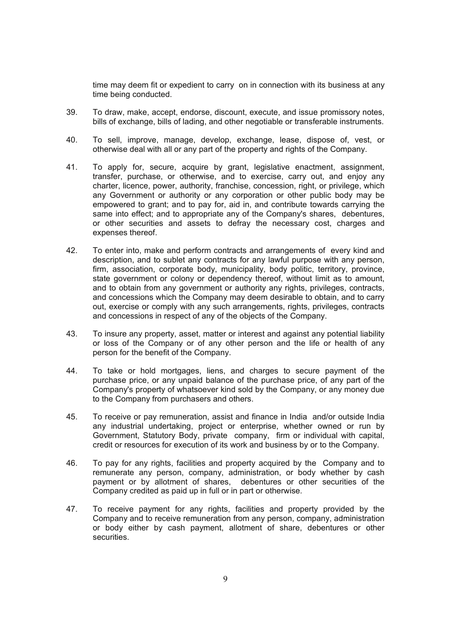time may deem fit or expedient to carry on in connection with its business at any time being conducted.

- 39. To draw, make, accept, endorse, discount, execute, and issue promissory notes, bills of exchange, bills of lading, and other negotiable or transferable instruments.
- 40. To sell, improve, manage, develop, exchange, lease, dispose of, vest, or otherwise deal with all or any part of the property and rights of the Company.
- 41. To apply for, secure, acquire by grant, legislative enactment, assignment, transfer, purchase, or otherwise, and to exercise, carry out, and enjoy any charter, licence, power, authority, franchise, concession, right, or privilege, which any Government or authority or any corporation or other public body may be empowered to grant; and to pay for, aid in, and contribute towards carrying the same into effect; and to appropriate any of the Company's shares, debentures, or other securities and assets to defray the necessary cost, charges and expenses thereof.
- 42. To enter into, make and perform contracts and arrangements of every kind and description, and to sublet any contracts for any lawful purpose with any person, firm, association, corporate body, municipality, body politic, territory, province, state government or colony or dependency thereof, without limit as to amount, and to obtain from any government or authority any rights, privileges, contracts, and concessions which the Company may deem desirable to obtain, and to carry out, exercise or comply with any such arrangements, rights, privileges, contracts and concessions in respect of any of the objects of the Company.
- 43. To insure any property, asset, matter or interest and against any potential liability or loss of the Company or of any other person and the life or health of any person for the benefit of the Company.
- 44. To take or hold mortgages, liens, and charges to secure payment of the purchase price, or any unpaid balance of the purchase price, of any part of the Company's property of whatsoever kind sold by the Company, or any money due to the Company from purchasers and others.
- 45. To receive or pay remuneration, assist and finance in India and/or outside India any industrial undertaking, project or enterprise, whether owned or run by Government, Statutory Body, private company, firm or individual with capital, credit or resources for execution of its work and business by or to the Company.
- 46. To pay for any rights, facilities and property acquired by the Company and to remunerate any person, company, administration, or body whether by cash payment or by allotment of shares, debentures or other securities of the Company credited as paid up in full or in part or otherwise.
- 47. To receive payment for any rights, facilities and property provided by the Company and to receive remuneration from any person, company, administration or body either by cash payment, allotment of share, debentures or other securities.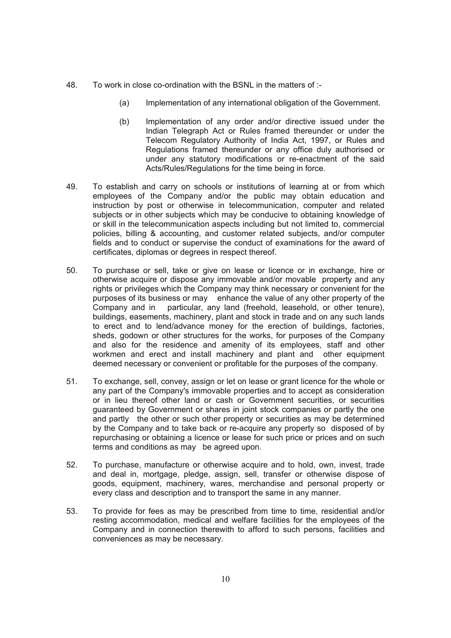- 48. To work in close co-ordination with the BSNL in the matters of :-
	- (a) Implementation of any international obligation of the Government.
	- (b) Implementation of any order and/or directive issued under the Indian Telegraph Act or Rules framed thereunder or under the Telecom Regulatory Authority of India Act, 1997, or Rules and Regulations framed thereunder or any office duly authorised or under any statutory modifications or re-enactment of the said Acts/Rules/Regulations for the time being in force.
- 49. To establish and carry on schools or institutions of learning at or from which employees of the Company and/or the public may obtain education and instruction by post or otherwise in telecommunication, computer and related subiects or in other subiects which may be conducive to obtaining knowledge of or skill in the telecommunication aspects including but not limited to, commercial policies, billing & accounting, and customer related subjects, and/or computer fields and to conduct or supervise the conduct of examinations for the award of certificates, diplomas or degrees in respect thereof.
- 50. To purchase or sell, take or give on lease or licence or in exchange, hire or otherwise acquire or dispose any immovable and/or movable property and any rights or privileges which the Company may think necessary or convenient for the purposes of its business or may enhance the value of any other property of the Company and in particular, any land (freehold, leasehold, or other tenure), buildings, easements, machinery, plant and stock in trade and on any such lands to erect and to lend/advance money for the erection of buildings, factories, sheds, godown or other structures for the works, for purposes of the Company and also for the residence and amenity of its employees, staff and other workmen and erect and install machinery and plant and other equipment deemed necessary or convenient or profitable for the purposes of the company.
- 51. To exchange, sell, convey, assign or let on lease or grant licence for the whole or any part of the Company's immovable properties and to accept as consideration or in lieu thereof other land or cash or Government securities, or securities guaranteed by Government or shares in joint stock companies or partly the one and partly the other or such other property or securities as may be determined by the Company and to take back or re-acquire any property so disposed of by repurchasing or obtaining a licence or lease for such price or prices and on such terms and conditions as may be agreed upon.
- 52. To purchase, manufacture or otherwise acquire and to hold, own, invest, trade and deal in, mortgage, pledge, assign, sell, transfer or otherwise dispose of goods, equipment, machinery, wares, merchandise and personal property or every class and description and to transport the same in any manner.
- 53. To provide for fees as may be prescribed from time to time, residential and/or resting accommodation, medical and welfare facilities for the employees of the Company and in connection therewith to afford to such persons, facilities and conveniences as may be necessary.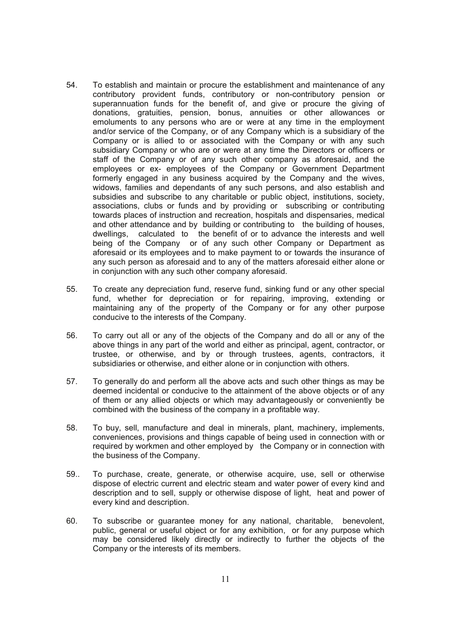- 54. To establish and maintain or procure the establishment and maintenance of any contributory provident funds, contributory or non-contributory pension or superannuation funds for the benefit of, and give or procure the giving of donations, gratuities, pension, bonus, annuities or other allowances or emoluments to any persons who are or were at any time in the employment and/or service of the Company, or of any Company which is a subsidiary of the Company or is allied to or associated with the Company or with any such subsidiary Company or who are or were at any time the Directors or officers or staff of the Company or of any such other company as aforesaid, and the employees or ex- employees of the Company or Government Department formerly engaged in any business acquired by the Company and the wives, widows, families and dependants of any such persons, and also establish and subsidies and subscribe to any charitable or public object, institutions, society, associations, clubs or funds and by providing or subscribing or contributing towards places of instruction and recreation, hospitals and dispensaries, medical and other attendance and by building or contributing to the building of houses, dwellings, calculated to the benefit of or to advance the interests and well being of the Company or of any such other Company or Department as aforesaid or its employees and to make payment to or towards the insurance of any such person as aforesaid and to any of the matters aforesaid either alone or in conjunction with any such other company aforesaid.
- 55. To create any depreciation fund, reserve fund, sinking fund or any other special fund, whether for depreciation or for repairing, improving, extending or maintaining any of the property of the Company or for any other purpose conducive to the interests of the Company.
- 56. To carry out all or any of the objects of the Company and do all or any of the above things in any part of the world and either as principal, agent, contractor, or trustee, or otherwise, and by or through trustees, agents, contractors, it subsidiaries or otherwise, and either alone or in conjunction with others.
- 57. To generally do and perform all the above acts and such other things as may be deemed incidental or conducive to the attainment of the above objects or of any of them or any allied objects or which may advantageously or conveniently be combined with the business of the company in a profitable way.
- 58. To buy, sell, manufacture and deal in minerals, plant, machinery, implements, conveniences, provisions and things capable of being used in connection with or required by workmen and other employed by the Company or in connection with the business of the Company.
- 59.. To purchase, create, generate, or otherwise acquire, use, sell or otherwise dispose of electric current and electric steam and water power of every kind and description and to sell, supply or otherwise dispose of light, heat and power of every kind and description.
- 60. To subscribe or guarantee money for any national, charitable, benevolent, public, general or useful object or for any exhibition, or for any purpose which may be considered likely directly or indirectly to further the objects of the Company or the interests of its members.